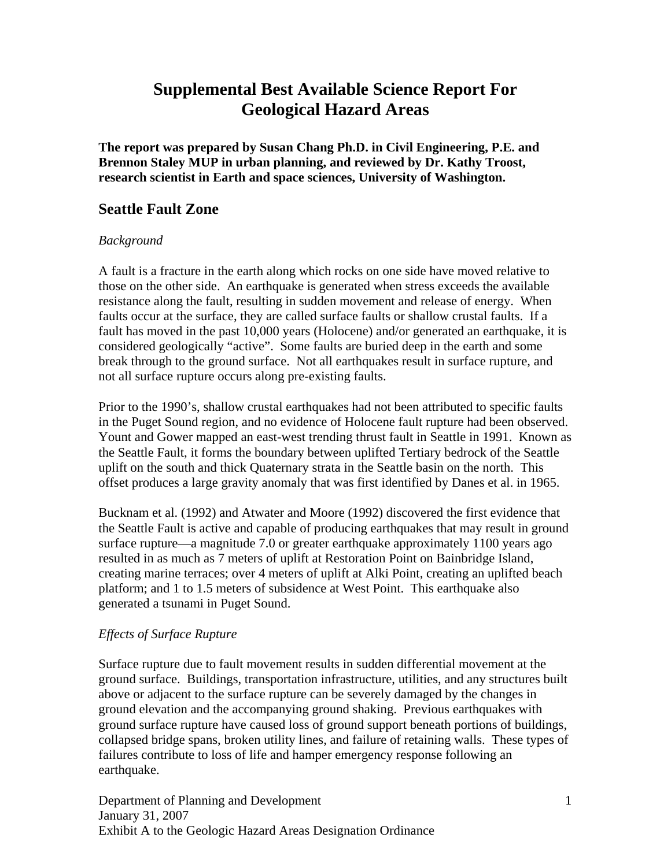**The report was prepared by Susan Chang Ph.D. in Civil Engineering, P.E. and Brennon Staley MUP in urban planning, and reviewed by Dr. Kathy Troost, research scientist in Earth and space sciences, University of Washington.** 

## **Seattle Fault Zone**

#### *Background*

A fault is a fracture in the earth along which rocks on one side have moved relative to those on the other side. An earthquake is generated when stress exceeds the available resistance along the fault, resulting in sudden movement and release of energy. When faults occur at the surface, they are called surface faults or shallow crustal faults. If a fault has moved in the past 10,000 years (Holocene) and/or generated an earthquake, it is considered geologically "active". Some faults are buried deep in the earth and some break through to the ground surface. Not all earthquakes result in surface rupture, and not all surface rupture occurs along pre-existing faults.

Prior to the 1990's, shallow crustal earthquakes had not been attributed to specific faults in the Puget Sound region, and no evidence of Holocene fault rupture had been observed. Yount and Gower mapped an east-west trending thrust fault in Seattle in 1991. Known as the Seattle Fault, it forms the boundary between uplifted Tertiary bedrock of the Seattle uplift on the south and thick Quaternary strata in the Seattle basin on the north. This offset produces a large gravity anomaly that was first identified by Danes et al. in 1965.

Bucknam et al. (1992) and Atwater and Moore (1992) discovered the first evidence that the Seattle Fault is active and capable of producing earthquakes that may result in ground surface rupture—a magnitude 7.0 or greater earthquake approximately 1100 years ago resulted in as much as 7 meters of uplift at Restoration Point on Bainbridge Island, creating marine terraces; over 4 meters of uplift at Alki Point, creating an uplifted beach platform; and 1 to 1.5 meters of subsidence at West Point. This earthquake also generated a tsunami in Puget Sound.

#### *Effects of Surface Rupture*

Surface rupture due to fault movement results in sudden differential movement at the ground surface. Buildings, transportation infrastructure, utilities, and any structures built above or adjacent to the surface rupture can be severely damaged by the changes in ground elevation and the accompanying ground shaking. Previous earthquakes with ground surface rupture have caused loss of ground support beneath portions of buildings, collapsed bridge spans, broken utility lines, and failure of retaining walls. These types of failures contribute to loss of life and hamper emergency response following an earthquake.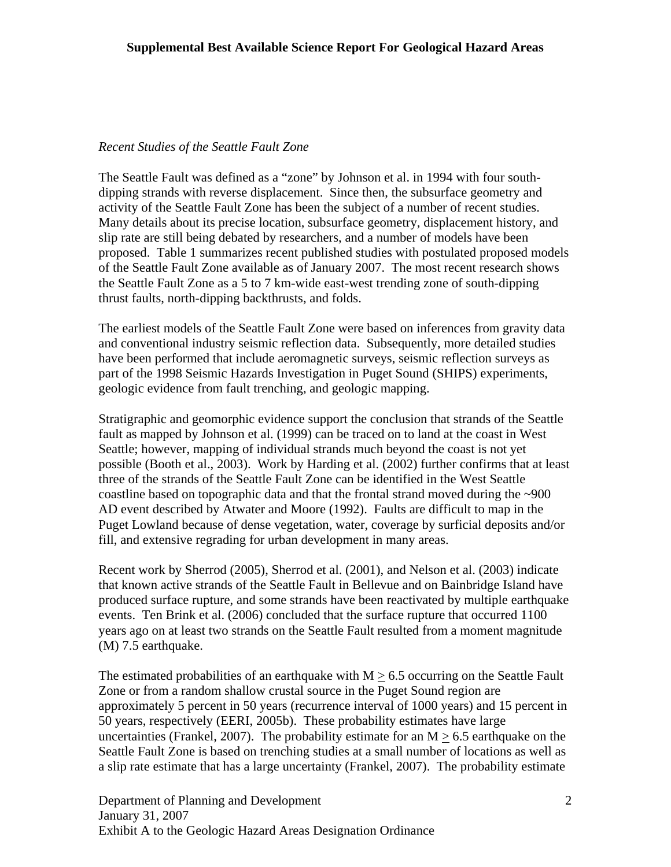#### *Recent Studies of the Seattle Fault Zone*

The Seattle Fault was defined as a "zone" by Johnson et al. in 1994 with four southdipping strands with reverse displacement. Since then, the subsurface geometry and activity of the Seattle Fault Zone has been the subject of a number of recent studies. Many details about its precise location, subsurface geometry, displacement history, and slip rate are still being debated by researchers, and a number of models have been proposed. Table 1 summarizes recent published studies with postulated proposed models of the Seattle Fault Zone available as of January 2007. The most recent research shows the Seattle Fault Zone as a 5 to 7 km-wide east-west trending zone of south-dipping thrust faults, north-dipping backthrusts, and folds.

The earliest models of the Seattle Fault Zone were based on inferences from gravity data and conventional industry seismic reflection data. Subsequently, more detailed studies have been performed that include aeromagnetic surveys, seismic reflection surveys as part of the 1998 Seismic Hazards Investigation in Puget Sound (SHIPS) experiments, geologic evidence from fault trenching, and geologic mapping.

Stratigraphic and geomorphic evidence support the conclusion that strands of the Seattle fault as mapped by Johnson et al. (1999) can be traced on to land at the coast in West Seattle; however, mapping of individual strands much beyond the coast is not yet possible (Booth et al., 2003). Work by Harding et al. (2002) further confirms that at least three of the strands of the Seattle Fault Zone can be identified in the West Seattle coastline based on topographic data and that the frontal strand moved during the ~900 AD event described by Atwater and Moore (1992). Faults are difficult to map in the Puget Lowland because of dense vegetation, water, coverage by surficial deposits and/or fill, and extensive regrading for urban development in many areas.

Recent work by Sherrod (2005), Sherrod et al. (2001), and Nelson et al. (2003) indicate that known active strands of the Seattle Fault in Bellevue and on Bainbridge Island have produced surface rupture, and some strands have been reactivated by multiple earthquake events. Ten Brink et al. (2006) concluded that the surface rupture that occurred 1100 years ago on at least two strands on the Seattle Fault resulted from a moment magnitude (M) 7.5 earthquake.

The estimated probabilities of an earthquake with  $M > 6.5$  occurring on the Seattle Fault Zone or from a random shallow crustal source in the Puget Sound region are approximately 5 percent in 50 years (recurrence interval of 1000 years) and 15 percent in 50 years, respectively (EERI, 2005b). These probability estimates have large uncertainties (Frankel, 2007). The probability estimate for an  $M > 6.5$  earthquake on the Seattle Fault Zone is based on trenching studies at a small number of locations as well as a slip rate estimate that has a large uncertainty (Frankel, 2007). The probability estimate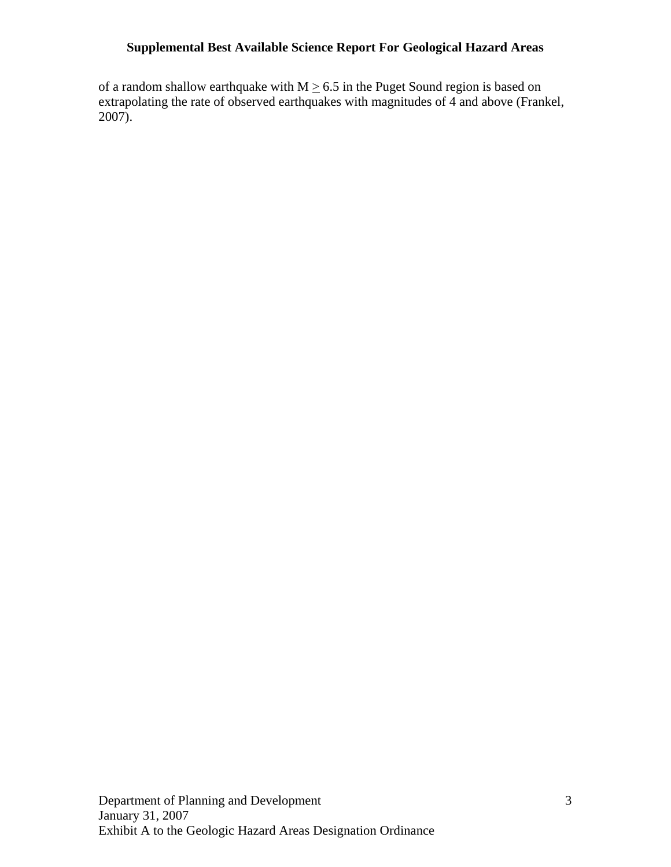of a random shallow earthquake with  $M \geq 6.5$  in the Puget Sound region is based on extrapolating the rate of observed earthquakes with magnitudes of 4 and above (Frankel, 2007).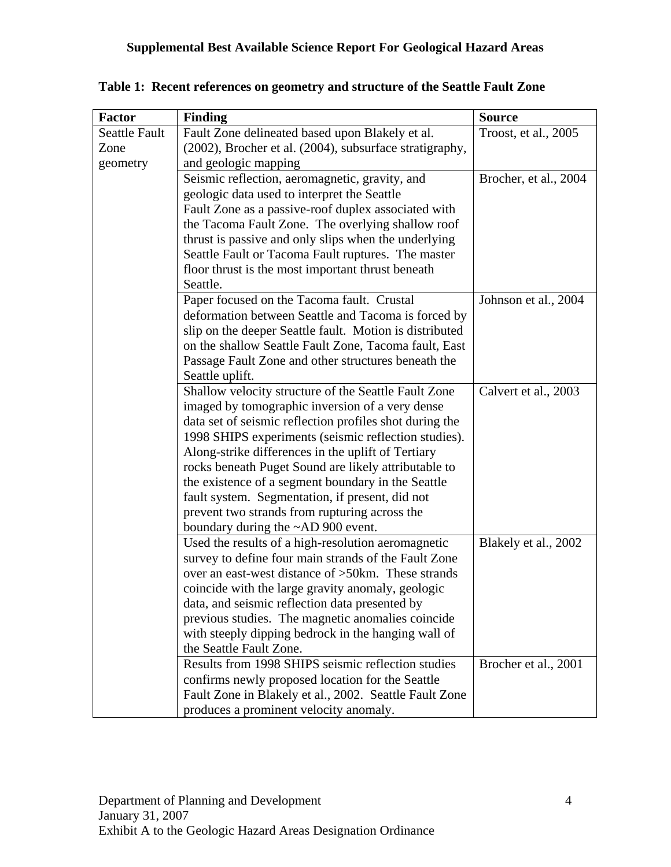| <b>Factor</b>        | Finding                                                 | <b>Source</b>         |
|----------------------|---------------------------------------------------------|-----------------------|
| <b>Seattle Fault</b> | Fault Zone delineated based upon Blakely et al.         | Troost, et al., 2005  |
| Zone                 | (2002), Brocher et al. (2004), subsurface stratigraphy, |                       |
| geometry             | and geologic mapping                                    |                       |
|                      | Seismic reflection, aeromagnetic, gravity, and          | Brocher, et al., 2004 |
|                      | geologic data used to interpret the Seattle             |                       |
|                      | Fault Zone as a passive-roof duplex associated with     |                       |
|                      | the Tacoma Fault Zone. The overlying shallow roof       |                       |
|                      | thrust is passive and only slips when the underlying    |                       |
|                      | Seattle Fault or Tacoma Fault ruptures. The master      |                       |
|                      | floor thrust is the most important thrust beneath       |                       |
|                      | Seattle.                                                |                       |
|                      | Paper focused on the Tacoma fault. Crustal              | Johnson et al., 2004  |
|                      | deformation between Seattle and Tacoma is forced by     |                       |
|                      | slip on the deeper Seattle fault. Motion is distributed |                       |
|                      | on the shallow Seattle Fault Zone, Tacoma fault, East   |                       |
|                      | Passage Fault Zone and other structures beneath the     |                       |
|                      | Seattle uplift.                                         |                       |
|                      | Shallow velocity structure of the Seattle Fault Zone    | Calvert et al., 2003  |
|                      | imaged by tomographic inversion of a very dense         |                       |
|                      | data set of seismic reflection profiles shot during the |                       |
|                      | 1998 SHIPS experiments (seismic reflection studies).    |                       |
|                      | Along-strike differences in the uplift of Tertiary      |                       |
|                      | rocks beneath Puget Sound are likely attributable to    |                       |
|                      | the existence of a segment boundary in the Seattle      |                       |
|                      | fault system. Segmentation, if present, did not         |                       |
|                      | prevent two strands from rupturing across the           |                       |
|                      | boundary during the ~AD 900 event.                      |                       |
|                      | Used the results of a high-resolution aeromagnetic      | Blakely et al., 2002  |
|                      | survey to define four main strands of the Fault Zone    |                       |
|                      | over an east-west distance of >50km. These strands      |                       |
|                      | coincide with the large gravity anomaly, geologic       |                       |
|                      | data, and seismic reflection data presented by          |                       |
|                      | previous studies. The magnetic anomalies coincide       |                       |
|                      | with steeply dipping bedrock in the hanging wall of     |                       |
|                      | the Seattle Fault Zone.                                 |                       |
|                      | Results from 1998 SHIPS seismic reflection studies      | Brocher et al., 2001  |
|                      | confirms newly proposed location for the Seattle        |                       |
|                      | Fault Zone in Blakely et al., 2002. Seattle Fault Zone  |                       |
|                      | produces a prominent velocity anomaly.                  |                       |

**Table 1: Recent references on geometry and structure of the Seattle Fault Zone**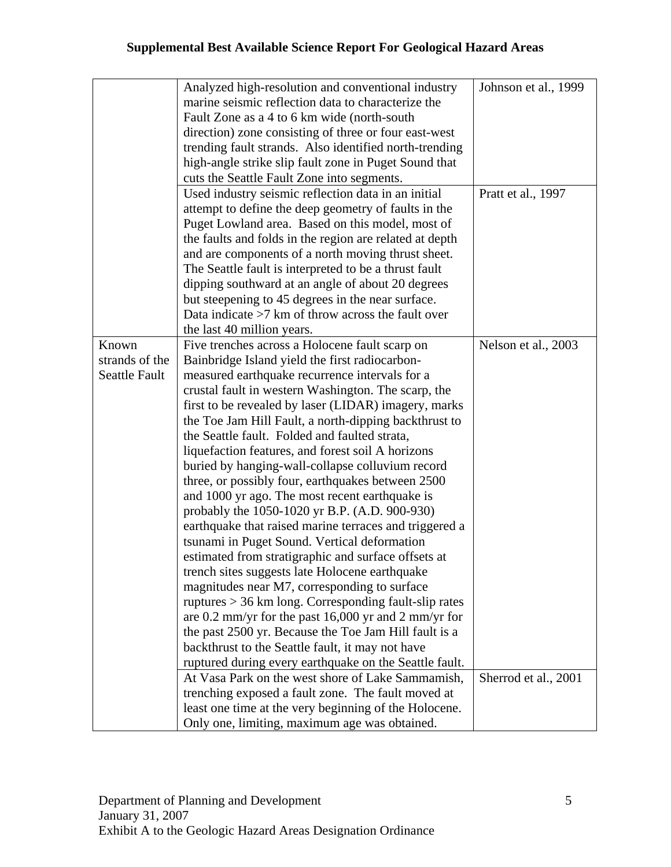|                      | Analyzed high-resolution and conventional industry      | Johnson et al., 1999 |
|----------------------|---------------------------------------------------------|----------------------|
|                      | marine seismic reflection data to characterize the      |                      |
|                      | Fault Zone as a 4 to 6 km wide (north-south)            |                      |
|                      | direction) zone consisting of three or four east-west   |                      |
|                      | trending fault strands. Also identified north-trending  |                      |
|                      | high-angle strike slip fault zone in Puget Sound that   |                      |
|                      | cuts the Seattle Fault Zone into segments.              |                      |
|                      | Used industry seismic reflection data in an initial     | Pratt et al., 1997   |
|                      | attempt to define the deep geometry of faults in the    |                      |
|                      | Puget Lowland area. Based on this model, most of        |                      |
|                      | the faults and folds in the region are related at depth |                      |
|                      | and are components of a north moving thrust sheet.      |                      |
|                      | The Seattle fault is interpreted to be a thrust fault   |                      |
|                      | dipping southward at an angle of about 20 degrees       |                      |
|                      | but steepening to 45 degrees in the near surface.       |                      |
|                      | Data indicate $>7$ km of throw across the fault over    |                      |
|                      |                                                         |                      |
| Known                | the last 40 million years.                              |                      |
|                      | Five trenches across a Holocene fault scarp on          | Nelson et al., 2003  |
| strands of the       | Bainbridge Island yield the first radiocarbon-          |                      |
| <b>Seattle Fault</b> | measured earthquake recurrence intervals for a          |                      |
|                      | crustal fault in western Washington. The scarp, the     |                      |
|                      | first to be revealed by laser (LIDAR) imagery, marks    |                      |
|                      | the Toe Jam Hill Fault, a north-dipping backthrust to   |                      |
|                      | the Seattle fault. Folded and faulted strata,           |                      |
|                      | liquefaction features, and forest soil A horizons       |                      |
|                      | buried by hanging-wall-collapse colluvium record        |                      |
|                      | three, or possibly four, earthquakes between 2500       |                      |
|                      | and 1000 yr ago. The most recent earthquake is          |                      |
|                      | probably the 1050-1020 yr B.P. (A.D. 900-930)           |                      |
|                      | earthquake that raised marine terraces and triggered a  |                      |
|                      | tsunami in Puget Sound. Vertical deformation            |                      |
|                      | estimated from stratigraphic and surface offsets at     |                      |
|                      | trench sites suggests late Holocene earthquake          |                      |
|                      | magnitudes near M7, corresponding to surface            |                      |
|                      | ruptures $> 36$ km long. Corresponding fault-slip rates |                      |
|                      | are 0.2 mm/yr for the past 16,000 yr and 2 mm/yr for    |                      |
|                      | the past 2500 yr. Because the Toe Jam Hill fault is a   |                      |
|                      | backthrust to the Seattle fault, it may not have        |                      |
|                      | ruptured during every earthquake on the Seattle fault.  |                      |
|                      | At Vasa Park on the west shore of Lake Sammamish,       | Sherrod et al., 2001 |
|                      | trenching exposed a fault zone. The fault moved at      |                      |
|                      | least one time at the very beginning of the Holocene.   |                      |
|                      | Only one, limiting, maximum age was obtained.           |                      |
|                      |                                                         |                      |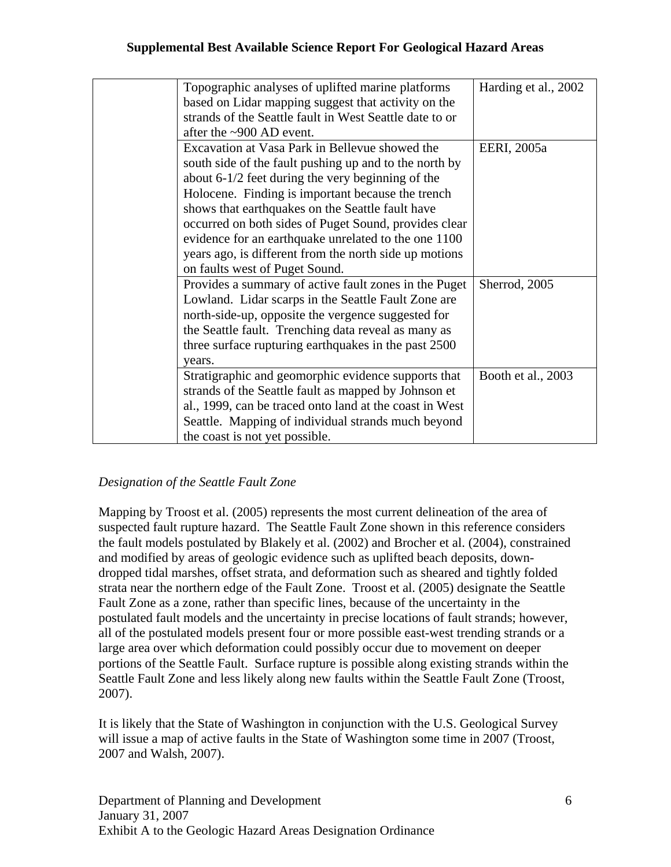| Topographic analyses of uplifted marine platforms       | Harding et al., 2002 |
|---------------------------------------------------------|----------------------|
| based on Lidar mapping suggest that activity on the     |                      |
| strands of the Seattle fault in West Seattle date to or |                      |
| after the ~900 AD event.                                |                      |
| Excavation at Vasa Park in Bellevue showed the          | EERI, 2005a          |
| south side of the fault pushing up and to the north by  |                      |
| about 6-1/2 feet during the very beginning of the       |                      |
| Holocene. Finding is important because the trench       |                      |
| shows that earthquakes on the Seattle fault have        |                      |
| occurred on both sides of Puget Sound, provides clear   |                      |
| evidence for an earthquake unrelated to the one 1100    |                      |
| years ago, is different from the north side up motions  |                      |
| on faults west of Puget Sound.                          |                      |
| Provides a summary of active fault zones in the Puget   | Sherrod, 2005        |
| Lowland. Lidar scarps in the Seattle Fault Zone are     |                      |
| north-side-up, opposite the vergence suggested for      |                      |
| the Seattle fault. Trenching data reveal as many as     |                      |
| three surface rupturing earthquakes in the past 2500    |                      |
| vears.                                                  |                      |
| Stratigraphic and geomorphic evidence supports that     | Booth et al., 2003   |
| strands of the Seattle fault as mapped by Johnson et    |                      |
| al., 1999, can be traced onto land at the coast in West |                      |
| Seattle. Mapping of individual strands much beyond      |                      |
| the coast is not yet possible.                          |                      |

## *Designation of the Seattle Fault Zone*

Mapping by Troost et al. (2005) represents the most current delineation of the area of suspected fault rupture hazard. The Seattle Fault Zone shown in this reference considers the fault models postulated by Blakely et al. (2002) and Brocher et al. (2004), constrained and modified by areas of geologic evidence such as uplifted beach deposits, downdropped tidal marshes, offset strata, and deformation such as sheared and tightly folded strata near the northern edge of the Fault Zone. Troost et al. (2005) designate the Seattle Fault Zone as a zone, rather than specific lines, because of the uncertainty in the postulated fault models and the uncertainty in precise locations of fault strands; however, all of the postulated models present four or more possible east-west trending strands or a large area over which deformation could possibly occur due to movement on deeper portions of the Seattle Fault. Surface rupture is possible along existing strands within the Seattle Fault Zone and less likely along new faults within the Seattle Fault Zone (Troost, 2007).

It is likely that the State of Washington in conjunction with the U.S. Geological Survey will issue a map of active faults in the State of Washington some time in 2007 (Troost, 2007 and Walsh, 2007).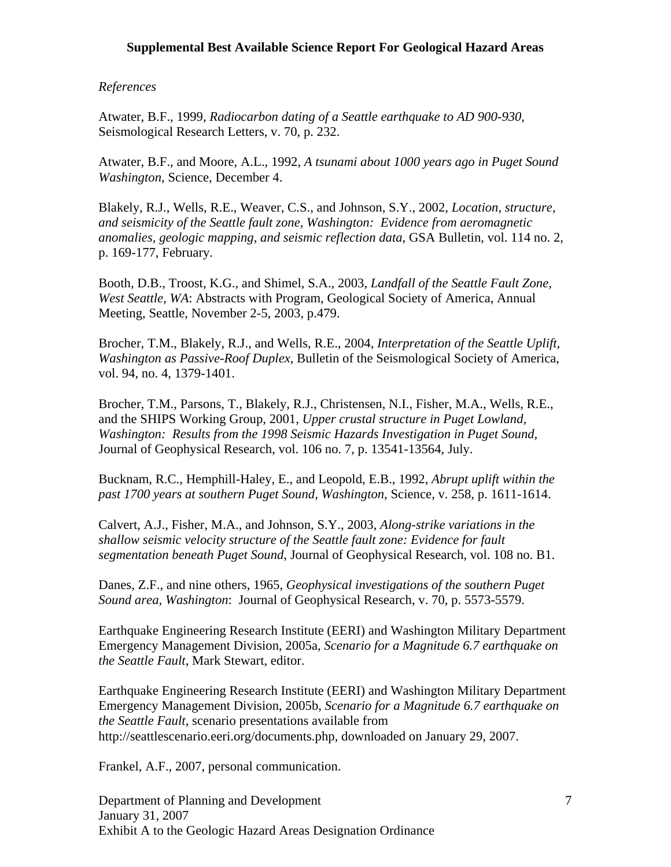#### *References*

Atwater, B.F., 1999, *Radiocarbon dating of a Seattle earthquake to AD 900-930*, Seismological Research Letters, v. 70, p. 232.

Atwater, B.F., and Moore, A.L., 1992, *A tsunami about 1000 years ago in Puget Sound Washington*, Science, December 4.

Blakely, R.J., Wells, R.E., Weaver, C.S., and Johnson, S.Y., 2002, *Location, structure, and seismicity of the Seattle fault zone, Washington: Evidence from aeromagnetic anomalies, geologic mapping, and seismic reflection data*, GSA Bulletin, vol. 114 no. 2, p. 169-177, February.

Booth, D.B., Troost, K.G., and Shimel, S.A., 2003, *Landfall of the Seattle Fault Zone, West Seattle, WA*: Abstracts with Program, Geological Society of America, Annual Meeting, Seattle, November 2-5, 2003, p.479.

Brocher, T.M., Blakely, R.J., and Wells, R.E., 2004, *Interpretation of the Seattle Uplift, Washington as Passive-Roof Duplex*, Bulletin of the Seismological Society of America, vol. 94, no. 4, 1379-1401.

Brocher, T.M., Parsons, T., Blakely, R.J., Christensen, N.I., Fisher, M.A., Wells, R.E., and the SHIPS Working Group, 2001, *Upper crustal structure in Puget Lowland, Washington: Results from the 1998 Seismic Hazards Investigation in Puget Sound,* Journal of Geophysical Research, vol. 106 no. 7, p. 13541-13564, July.

Bucknam, R.C., Hemphill-Haley, E., and Leopold, E.B., 1992, *Abrupt uplift within the past 1700 years at southern Puget Sound, Washington*, Science, v. 258, p. 1611-1614.

Calvert, A.J., Fisher, M.A., and Johnson, S.Y., 2003, *Along-strike variations in the shallow seismic velocity structure of the Seattle fault zone: Evidence for fault segmentation beneath Puget Sound*, Journal of Geophysical Research, vol. 108 no. B1.

Danes, Z.F., and nine others, 1965, *Geophysical investigations of the southern Puget Sound area, Washington*: Journal of Geophysical Research, v. 70, p. 5573-5579.

Earthquake Engineering Research Institute (EERI) and Washington Military Department Emergency Management Division, 2005a, *Scenario for a Magnitude 6.7 earthquake on the Seattle Fault*, Mark Stewart, editor.

Earthquake Engineering Research Institute (EERI) and Washington Military Department Emergency Management Division, 2005b, *Scenario for a Magnitude 6.7 earthquake on the Seattle Fault*, scenario presentations available from http://seattlescenario.eeri.org/documents.php, downloaded on January 29, 2007.

Frankel, A.F., 2007, personal communication.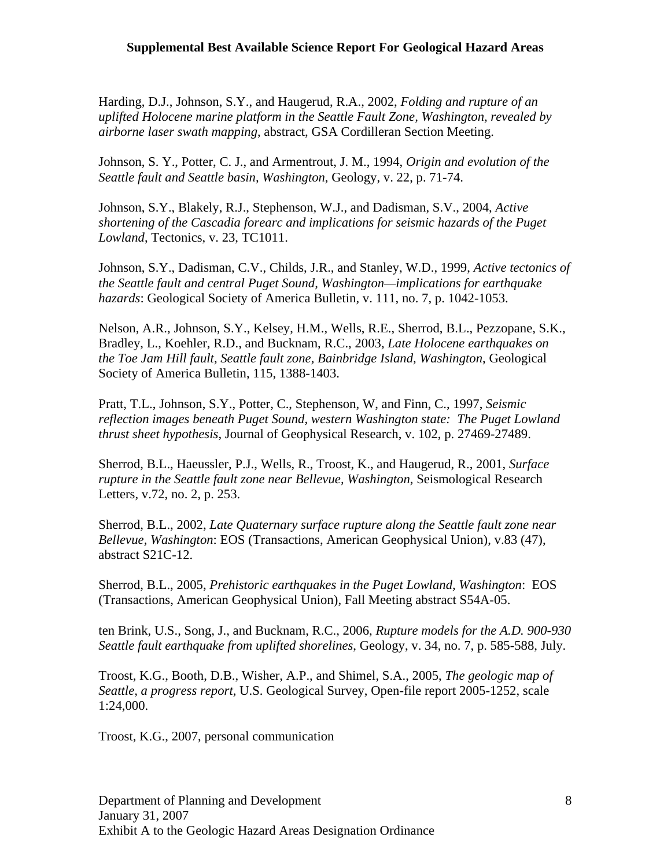Harding, D.J., Johnson, S.Y., and Haugerud, R.A., 2002, *Folding and rupture of an uplifted Holocene marine platform in the Seattle Fault Zone, Washington, revealed by airborne laser swath mapping*, abstract, GSA Cordilleran Section Meeting.

Johnson, S. Y., Potter, C. J., and Armentrout, J. M., 1994, *Origin and evolution of the Seattle fault and Seattle basin, Washington*, Geology, v. 22, p. 71-74.

Johnson, S.Y., Blakely, R.J., Stephenson, W.J., and Dadisman, S.V., 2004, *Active shortening of the Cascadia forearc and implications for seismic hazards of the Puget Lowland*, Tectonics, v. 23, TC1011.

Johnson, S.Y., Dadisman, C.V., Childs, J.R., and Stanley, W.D., 1999, *Active tectonics of the Seattle fault and central Puget Sound, Washington—implications for earthquake hazards*: Geological Society of America Bulletin, v. 111, no. 7, p. 1042-1053.

Nelson, A.R., Johnson, S.Y., Kelsey, H.M., Wells, R.E., Sherrod, B.L., Pezzopane, S.K., Bradley, L., Koehler, R.D., and Bucknam, R.C., 2003, *Late Holocene earthquakes on the Toe Jam Hill fault, Seattle fault zone, Bainbridge Island, Washington*, Geological Society of America Bulletin, 115, 1388-1403.

Pratt, T.L., Johnson, S.Y., Potter, C., Stephenson, W, and Finn, C., 1997, *Seismic reflection images beneath Puget Sound, western Washington state: The Puget Lowland thrust sheet hypothesis*, Journal of Geophysical Research, v. 102, p. 27469-27489.

Sherrod, B.L., Haeussler, P.J., Wells, R., Troost, K., and Haugerud, R., 2001, *Surface rupture in the Seattle fault zone near Bellevue, Washington*, Seismological Research Letters, v.72, no. 2, p. 253.

Sherrod, B.L., 2002, *Late Quaternary surface rupture along the Seattle fault zone near Bellevue, Washington*: EOS (Transactions, American Geophysical Union), v.83 (47), abstract S21C-12.

Sherrod, B.L., 2005, *Prehistoric earthquakes in the Puget Lowland, Washington*: EOS (Transactions, American Geophysical Union), Fall Meeting abstract S54A-05.

ten Brink, U.S., Song, J., and Bucknam, R.C., 2006, *Rupture models for the A.D. 900-930 Seattle fault earthquake from uplifted shorelines*, Geology, v. 34, no. 7, p. 585-588, July.

Troost, K.G., Booth, D.B., Wisher, A.P., and Shimel, S.A., 2005, *The geologic map of Seattle, a progress report,* U.S. Geological Survey, Open-file report 2005-1252, scale 1:24,000.

Troost, K.G., 2007, personal communication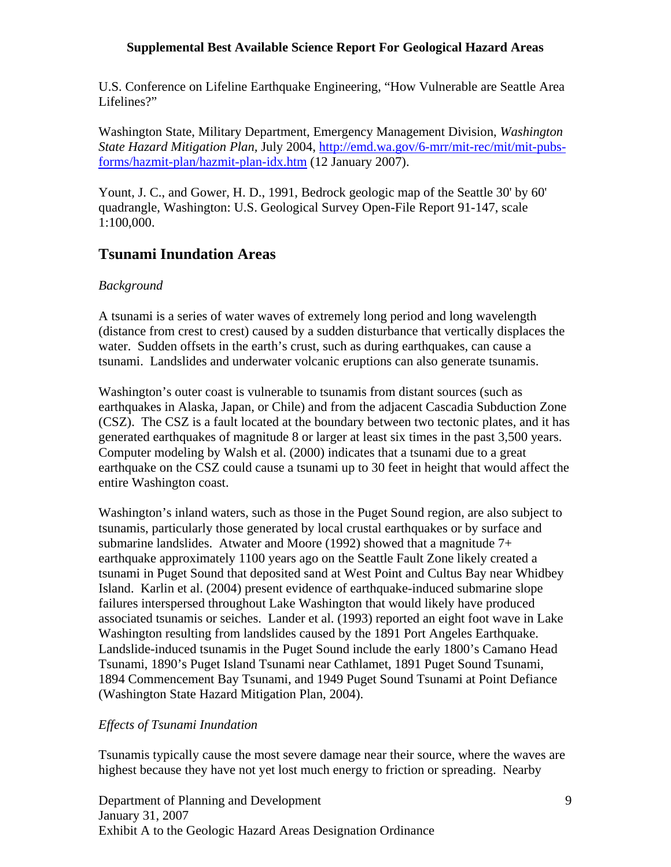U.S. Conference on Lifeline Earthquake Engineering, "How Vulnerable are Seattle Area Lifelines?"

Washington State, Military Department, Emergency Management Division, *Washington State Hazard Mitigation Plan,* July 2004, http://emd.wa.gov/6-mrr/mit-rec/mit/mit-pubsforms/hazmit-plan/hazmit-plan-idx.htm (12 January 2007).

Yount, J. C., and Gower, H. D., 1991, Bedrock geologic map of the Seattle 30' by 60' quadrangle, Washington: U.S. Geological Survey Open-File Report 91-147, scale 1:100,000.

## **Tsunami Inundation Areas**

### *Background*

A tsunami is a series of water waves of extremely long period and long wavelength (distance from crest to crest) caused by a sudden disturbance that vertically displaces the water. Sudden offsets in the earth's crust, such as during earthquakes, can cause a tsunami. Landslides and underwater volcanic eruptions can also generate tsunamis.

Washington's outer coast is vulnerable to tsunamis from distant sources (such as earthquakes in Alaska, Japan, or Chile) and from the adjacent Cascadia Subduction Zone (CSZ). The CSZ is a fault located at the boundary between two tectonic plates, and it has generated earthquakes of magnitude 8 or larger at least six times in the past 3,500 years. Computer modeling by Walsh et al. (2000) indicates that a tsunami due to a great earthquake on the CSZ could cause a tsunami up to 30 feet in height that would affect the entire Washington coast.

Washington's inland waters, such as those in the Puget Sound region, are also subject to tsunamis, particularly those generated by local crustal earthquakes or by surface and submarine landslides. Atwater and Moore (1992) showed that a magnitude  $7+$ earthquake approximately 1100 years ago on the Seattle Fault Zone likely created a tsunami in Puget Sound that deposited sand at West Point and Cultus Bay near Whidbey Island. Karlin et al. (2004) present evidence of earthquake-induced submarine slope failures interspersed throughout Lake Washington that would likely have produced associated tsunamis or seiches. Lander et al. (1993) reported an eight foot wave in Lake Washington resulting from landslides caused by the 1891 Port Angeles Earthquake. Landslide-induced tsunamis in the Puget Sound include the early 1800's Camano Head Tsunami, 1890's Puget Island Tsunami near Cathlamet, 1891 Puget Sound Tsunami, 1894 Commencement Bay Tsunami, and 1949 Puget Sound Tsunami at Point Defiance (Washington State Hazard Mitigation Plan, 2004).

#### *Effects of Tsunami Inundation*

Tsunamis typically cause the most severe damage near their source, where the waves are highest because they have not yet lost much energy to friction or spreading. Nearby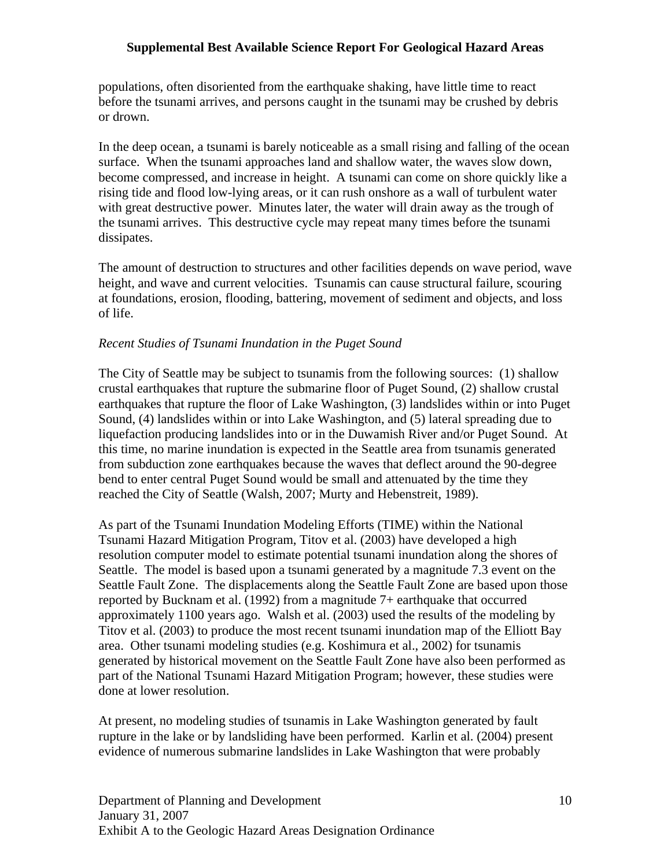populations, often disoriented from the earthquake shaking, have little time to react before the tsunami arrives, and persons caught in the tsunami may be crushed by debris or drown.

In the deep ocean, a tsunami is barely noticeable as a small rising and falling of the ocean surface. When the tsunami approaches land and shallow water, the waves slow down, become compressed, and increase in height. A tsunami can come on shore quickly like a rising tide and flood low-lying areas, or it can rush onshore as a wall of turbulent water with great destructive power. Minutes later, the water will drain away as the trough of the tsunami arrives. This destructive cycle may repeat many times before the tsunami dissipates.

The amount of destruction to structures and other facilities depends on wave period, wave height, and wave and current velocities. Tsunamis can cause structural failure, scouring at foundations, erosion, flooding, battering, movement of sediment and objects, and loss of life.

#### *Recent Studies of Tsunami Inundation in the Puget Sound*

The City of Seattle may be subject to tsunamis from the following sources: (1) shallow crustal earthquakes that rupture the submarine floor of Puget Sound, (2) shallow crustal earthquakes that rupture the floor of Lake Washington, (3) landslides within or into Puget Sound, (4) landslides within or into Lake Washington, and (5) lateral spreading due to liquefaction producing landslides into or in the Duwamish River and/or Puget Sound. At this time, no marine inundation is expected in the Seattle area from tsunamis generated from subduction zone earthquakes because the waves that deflect around the 90-degree bend to enter central Puget Sound would be small and attenuated by the time they reached the City of Seattle (Walsh, 2007; Murty and Hebenstreit, 1989).

As part of the Tsunami Inundation Modeling Efforts (TIME) within the National Tsunami Hazard Mitigation Program, Titov et al. (2003) have developed a high resolution computer model to estimate potential tsunami inundation along the shores of Seattle. The model is based upon a tsunami generated by a magnitude 7.3 event on the Seattle Fault Zone. The displacements along the Seattle Fault Zone are based upon those reported by Bucknam et al. (1992) from a magnitude 7+ earthquake that occurred approximately 1100 years ago. Walsh et al. (2003) used the results of the modeling by Titov et al. (2003) to produce the most recent tsunami inundation map of the Elliott Bay area. Other tsunami modeling studies (e.g. Koshimura et al., 2002) for tsunamis generated by historical movement on the Seattle Fault Zone have also been performed as part of the National Tsunami Hazard Mitigation Program; however, these studies were done at lower resolution.

At present, no modeling studies of tsunamis in Lake Washington generated by fault rupture in the lake or by landsliding have been performed. Karlin et al. (2004) present evidence of numerous submarine landslides in Lake Washington that were probably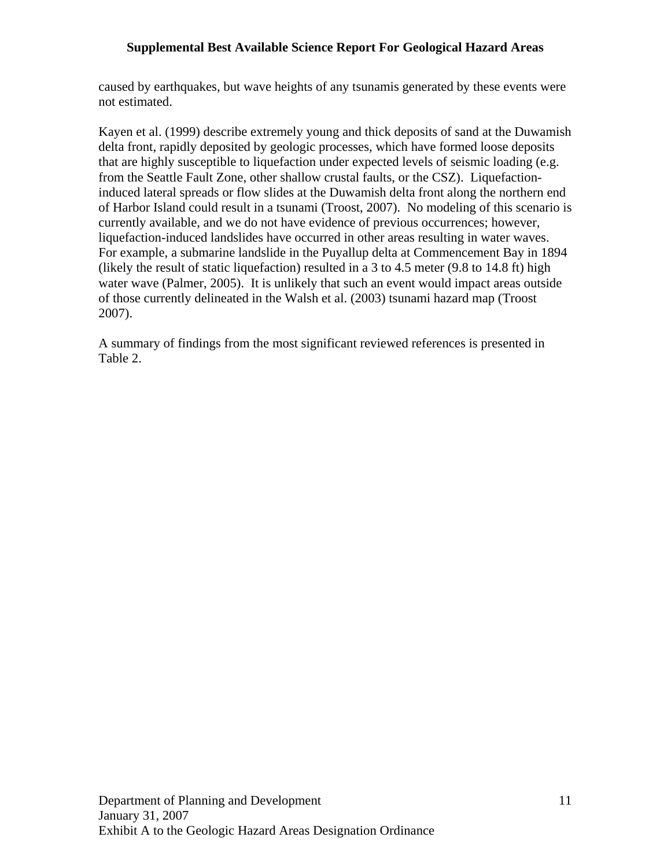caused by earthquakes, but wave heights of any tsunamis generated by these events were not estimated.

Kayen et al. (1999) describe extremely young and thick deposits of sand at the Duwamish delta front, rapidly deposited by geologic processes, which have formed loose deposits that are highly susceptible to liquefaction under expected levels of seismic loading (e.g. from the Seattle Fault Zone, other shallow crustal faults, or the CSZ). Liquefactioninduced lateral spreads or flow slides at the Duwamish delta front along the northern end of Harbor Island could result in a tsunami (Troost, 2007). No modeling of this scenario is currently available, and we do not have evidence of previous occurrences; however, liquefaction-induced landslides have occurred in other areas resulting in water waves. For example, a submarine landslide in the Puyallup delta at Commencement Bay in 1894 (likely the result of static liquefaction) resulted in a 3 to 4.5 meter (9.8 to 14.8 ft) high water wave (Palmer, 2005). It is unlikely that such an event would impact areas outside of those currently delineated in the Walsh et al. (2003) tsunami hazard map (Troost 2007).

A summary of findings from the most significant reviewed references is presented in Table 2.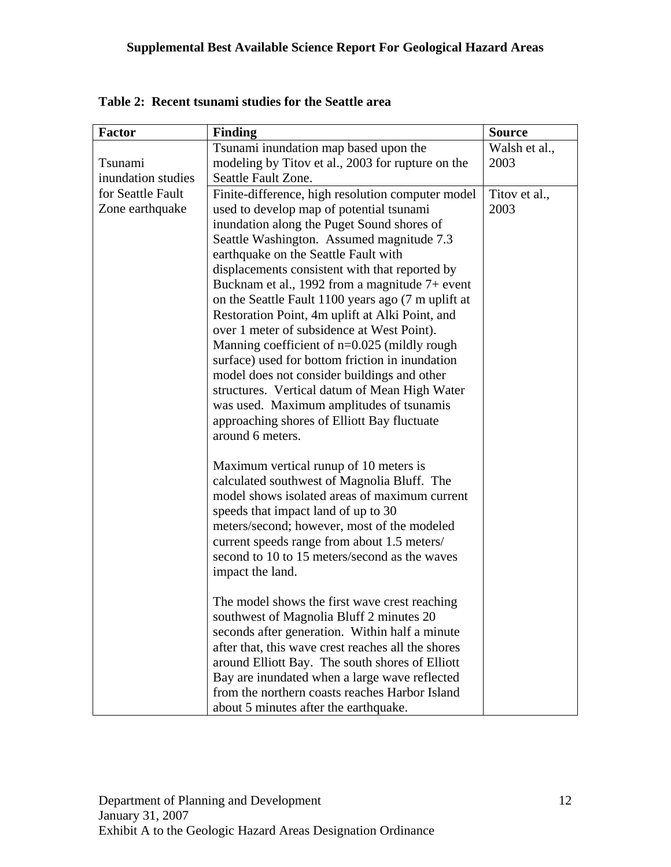| <b>Factor</b>      | <b>Finding</b>                                                                                       | <b>Source</b> |
|--------------------|------------------------------------------------------------------------------------------------------|---------------|
|                    | Tsunami inundation map based upon the                                                                | Walsh et al., |
| Tsunami            | modeling by Titov et al., 2003 for rupture on the                                                    | 2003          |
| inundation studies | Seattle Fault Zone.                                                                                  |               |
| for Seattle Fault  | Finite-difference, high resolution computer model                                                    | Titov et al., |
| Zone earthquake    | used to develop map of potential tsunami                                                             | 2003          |
|                    | inundation along the Puget Sound shores of                                                           |               |
|                    | Seattle Washington. Assumed magnitude 7.3                                                            |               |
|                    | earthquake on the Seattle Fault with                                                                 |               |
|                    | displacements consistent with that reported by                                                       |               |
|                    | Bucknam et al., 1992 from a magnitude 7+ event                                                       |               |
|                    | on the Seattle Fault 1100 years ago (7 m uplift at                                                   |               |
|                    | Restoration Point, 4m uplift at Alki Point, and                                                      |               |
|                    | over 1 meter of subsidence at West Point).<br>Manning coefficient of $n=0.025$ (mildly rough         |               |
|                    | surface) used for bottom friction in inundation                                                      |               |
|                    | model does not consider buildings and other                                                          |               |
|                    | structures. Vertical datum of Mean High Water                                                        |               |
|                    | was used. Maximum amplitudes of tsunamis                                                             |               |
|                    | approaching shores of Elliott Bay fluctuate                                                          |               |
|                    | around 6 meters.                                                                                     |               |
|                    |                                                                                                      |               |
|                    | Maximum vertical runup of 10 meters is                                                               |               |
|                    | calculated southwest of Magnolia Bluff. The                                                          |               |
|                    | model shows isolated areas of maximum current                                                        |               |
|                    | speeds that impact land of up to 30                                                                  |               |
|                    | meters/second; however, most of the modeled                                                          |               |
|                    | current speeds range from about 1.5 meters/                                                          |               |
|                    | second to 10 to 15 meters/second as the waves                                                        |               |
|                    | impact the land.                                                                                     |               |
|                    |                                                                                                      |               |
|                    | The model shows the first wave crest reaching                                                        |               |
|                    | southwest of Magnolia Bluff 2 minutes 20                                                             |               |
|                    | seconds after generation. Within half a minute<br>after that, this wave crest reaches all the shores |               |
|                    | around Elliott Bay. The south shores of Elliott                                                      |               |
|                    | Bay are inundated when a large wave reflected                                                        |               |
|                    | from the northern coasts reaches Harbor Island                                                       |               |
|                    | about 5 minutes after the earthquake.                                                                |               |

**Table 2: Recent tsunami studies for the Seattle area**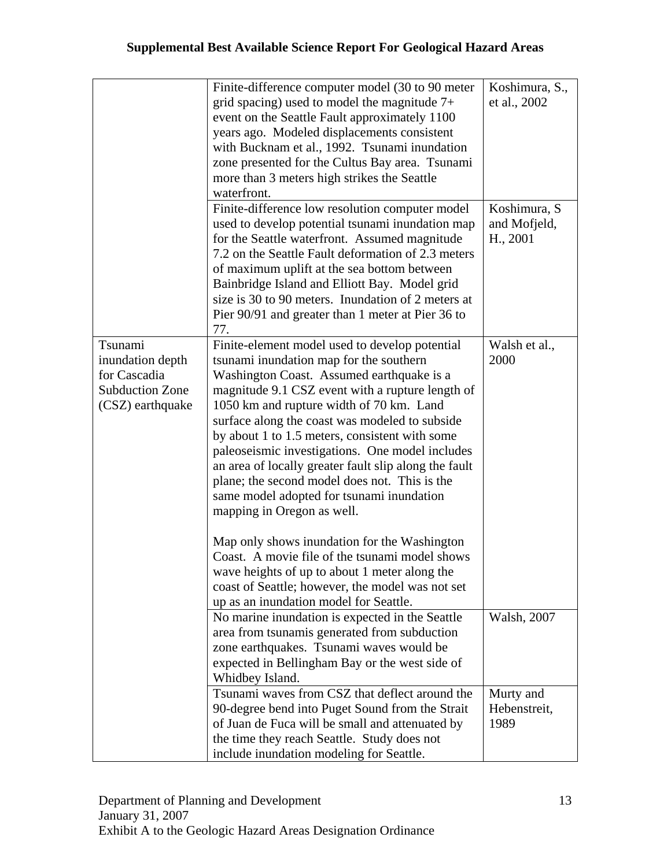|                                                                                           | Finite-difference computer model (30 to 90 meter<br>grid spacing) used to model the magnitude $7+$<br>event on the Seattle Fault approximately 1100<br>years ago. Modeled displacements consistent<br>with Bucknam et al., 1992. Tsunami inundation<br>zone presented for the Cultus Bay area. Tsunami<br>more than 3 meters high strikes the Seattle<br>waterfront.                                                                                                                                                                                                                                                                                                                                                                                                                                                                | Koshimura, S.,<br>et al., 2002           |
|-------------------------------------------------------------------------------------------|-------------------------------------------------------------------------------------------------------------------------------------------------------------------------------------------------------------------------------------------------------------------------------------------------------------------------------------------------------------------------------------------------------------------------------------------------------------------------------------------------------------------------------------------------------------------------------------------------------------------------------------------------------------------------------------------------------------------------------------------------------------------------------------------------------------------------------------|------------------------------------------|
|                                                                                           | Finite-difference low resolution computer model<br>used to develop potential tsunami inundation map<br>for the Seattle waterfront. Assumed magnitude<br>7.2 on the Seattle Fault deformation of 2.3 meters<br>of maximum uplift at the sea bottom between<br>Bainbridge Island and Elliott Bay. Model grid<br>size is 30 to 90 meters. Inundation of 2 meters at<br>Pier 90/91 and greater than 1 meter at Pier 36 to<br>77.                                                                                                                                                                                                                                                                                                                                                                                                        | Koshimura, S<br>and Mofjeld,<br>H., 2001 |
| Tsunami<br>inundation depth<br>for Cascadia<br><b>Subduction Zone</b><br>(CSZ) earthquake | Finite-element model used to develop potential<br>tsunami inundation map for the southern<br>Washington Coast. Assumed earthquake is a<br>magnitude 9.1 CSZ event with a rupture length of<br>1050 km and rupture width of 70 km. Land<br>surface along the coast was modeled to subside<br>by about 1 to 1.5 meters, consistent with some<br>paleoseismic investigations. One model includes<br>an area of locally greater fault slip along the fault<br>plane; the second model does not. This is the<br>same model adopted for tsunami inundation<br>mapping in Oregon as well.<br>Map only shows inundation for the Washington<br>Coast. A movie file of the tsunami model shows<br>wave heights of up to about 1 meter along the<br>coast of Seattle; however, the model was not set<br>up as an inundation model for Seattle. | Walsh et al.,<br>2000                    |
|                                                                                           | No marine inundation is expected in the Seattle<br>area from tsunamis generated from subduction<br>zone earthquakes. Tsunami waves would be<br>expected in Bellingham Bay or the west side of<br>Whidbey Island.                                                                                                                                                                                                                                                                                                                                                                                                                                                                                                                                                                                                                    | Walsh, 2007                              |
|                                                                                           | Tsunami waves from CSZ that deflect around the<br>90-degree bend into Puget Sound from the Strait<br>of Juan de Fuca will be small and attenuated by<br>the time they reach Seattle. Study does not<br>include inundation modeling for Seattle.                                                                                                                                                                                                                                                                                                                                                                                                                                                                                                                                                                                     | Murty and<br>Hebenstreit,<br>1989        |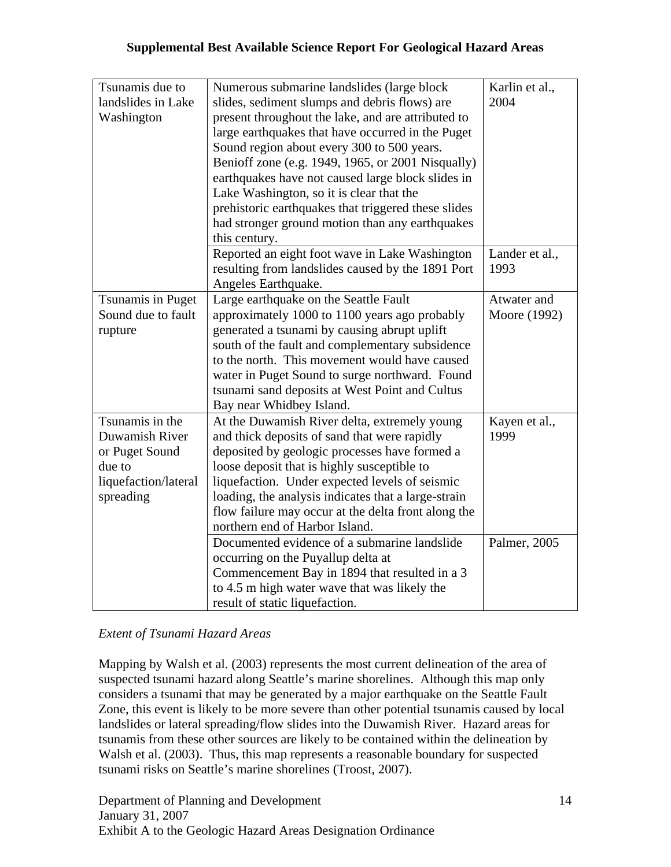| Tsunamis due to<br>landslides in Lake<br>Washington | Numerous submarine landslides (large block<br>slides, sediment slumps and debris flows) are<br>present throughout the lake, and are attributed to<br>large earthquakes that have occurred in the Puget<br>Sound region about every 300 to 500 years.<br>Benioff zone (e.g. 1949, 1965, or 2001 Nisqually)<br>earthquakes have not caused large block slides in<br>Lake Washington, so it is clear that the<br>prehistoric earthquakes that triggered these slides<br>had stronger ground motion than any earthquakes<br>this century. | Karlin et al.,<br>2004 |
|-----------------------------------------------------|---------------------------------------------------------------------------------------------------------------------------------------------------------------------------------------------------------------------------------------------------------------------------------------------------------------------------------------------------------------------------------------------------------------------------------------------------------------------------------------------------------------------------------------|------------------------|
|                                                     | Reported an eight foot wave in Lake Washington<br>resulting from landslides caused by the 1891 Port<br>Angeles Earthquake.                                                                                                                                                                                                                                                                                                                                                                                                            | Lander et al.,<br>1993 |
| Tsunamis in Puget                                   | Large earthquake on the Seattle Fault                                                                                                                                                                                                                                                                                                                                                                                                                                                                                                 | Atwater and            |
| Sound due to fault                                  | approximately 1000 to 1100 years ago probably                                                                                                                                                                                                                                                                                                                                                                                                                                                                                         | Moore (1992)           |
| rupture                                             | generated a tsunami by causing abrupt uplift<br>south of the fault and complementary subsidence<br>to the north. This movement would have caused<br>water in Puget Sound to surge northward. Found<br>tsunami sand deposits at West Point and Cultus<br>Bay near Whidbey Island.                                                                                                                                                                                                                                                      |                        |
| Tsunamis in the                                     | At the Duwamish River delta, extremely young                                                                                                                                                                                                                                                                                                                                                                                                                                                                                          | Kayen et al.,          |
| Duwamish River<br>or Puget Sound                    | and thick deposits of sand that were rapidly<br>deposited by geologic processes have formed a                                                                                                                                                                                                                                                                                                                                                                                                                                         | 1999                   |
| due to                                              | loose deposit that is highly susceptible to                                                                                                                                                                                                                                                                                                                                                                                                                                                                                           |                        |
| liquefaction/lateral                                | liquefaction. Under expected levels of seismic                                                                                                                                                                                                                                                                                                                                                                                                                                                                                        |                        |
| spreading                                           | loading, the analysis indicates that a large-strain                                                                                                                                                                                                                                                                                                                                                                                                                                                                                   |                        |
|                                                     | flow failure may occur at the delta front along the                                                                                                                                                                                                                                                                                                                                                                                                                                                                                   |                        |
|                                                     | northern end of Harbor Island.                                                                                                                                                                                                                                                                                                                                                                                                                                                                                                        |                        |
|                                                     | Documented evidence of a submarine landslide                                                                                                                                                                                                                                                                                                                                                                                                                                                                                          | Palmer, 2005           |
|                                                     | occurring on the Puyallup delta at                                                                                                                                                                                                                                                                                                                                                                                                                                                                                                    |                        |
|                                                     | Commencement Bay in 1894 that resulted in a 3                                                                                                                                                                                                                                                                                                                                                                                                                                                                                         |                        |
|                                                     | to 4.5 m high water wave that was likely the                                                                                                                                                                                                                                                                                                                                                                                                                                                                                          |                        |
|                                                     | result of static liquefaction.                                                                                                                                                                                                                                                                                                                                                                                                                                                                                                        |                        |

*Extent of Tsunami Hazard Areas* 

Mapping by Walsh et al. (2003) represents the most current delineation of the area of suspected tsunami hazard along Seattle's marine shorelines. Although this map only considers a tsunami that may be generated by a major earthquake on the Seattle Fault Zone, this event is likely to be more severe than other potential tsunamis caused by local landslides or lateral spreading/flow slides into the Duwamish River. Hazard areas for tsunamis from these other sources are likely to be contained within the delineation by Walsh et al. (2003). Thus, this map represents a reasonable boundary for suspected tsunami risks on Seattle's marine shorelines (Troost, 2007).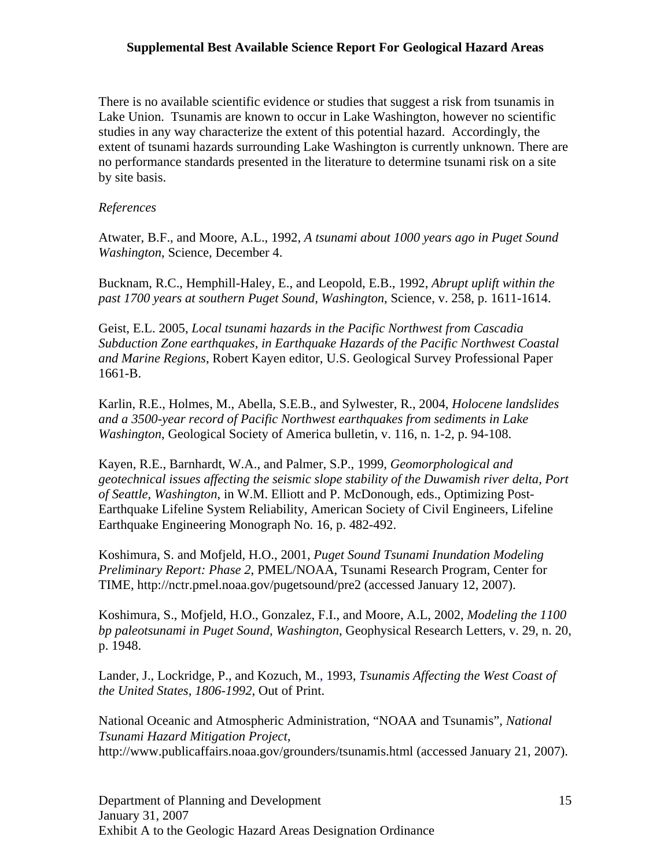There is no available scientific evidence or studies that suggest a risk from tsunamis in Lake Union. Tsunamis are known to occur in Lake Washington, however no scientific studies in any way characterize the extent of this potential hazard. Accordingly, the extent of tsunami hazards surrounding Lake Washington is currently unknown. There are no performance standards presented in the literature to determine tsunami risk on a site by site basis.

#### *References*

Atwater, B.F., and Moore, A.L., 1992, *A tsunami about 1000 years ago in Puget Sound Washington*, Science, December 4.

Bucknam, R.C., Hemphill-Haley, E., and Leopold, E.B., 1992, *Abrupt uplift within the past 1700 years at southern Puget Sound, Washington*, Science, v. 258, p. 1611-1614.

Geist, E.L. 2005, *Local tsunami hazards in the Pacific Northwest from Cascadia Subduction Zone earthquakes, in Earthquake Hazards of the Pacific Northwest Coastal and Marine Regions*, Robert Kayen editor, U.S. Geological Survey Professional Paper 1661-B.

Karlin, R.E., Holmes, M., Abella, S.E.B., and Sylwester, R., 2004, *Holocene landslides and a 3500-year record of Pacific Northwest earthquakes from sediments in Lake Washington*, Geological Society of America bulletin, v. 116, n. 1-2, p. 94-108.

Kayen, R.E., Barnhardt, W.A., and Palmer, S.P., 1999, *Geomorphological and geotechnical issues affecting the seismic slope stability of the Duwamish river delta, Port of Seattle, Washington*, in W.M. Elliott and P. McDonough, eds., Optimizing Post-Earthquake Lifeline System Reliability, American Society of Civil Engineers, Lifeline Earthquake Engineering Monograph No. 16, p. 482-492.

Koshimura, S. and Mofjeld, H.O., 2001, *Puget Sound Tsunami Inundation Modeling Preliminary Report: Phase 2*, PMEL/NOAA, Tsunami Research Program, Center for TIME, http://nctr.pmel.noaa.gov/pugetsound/pre2 (accessed January 12, 2007).

Koshimura, S., Mofjeld, H.O., Gonzalez, F.I., and Moore, A.L, 2002, *Modeling the 1100 bp paleotsunami in Puget Sound, Washington*, Geophysical Research Letters, v. 29, n. 20, p. 1948.

Lander, J., Lockridge, P., and Kozuch, M., 1993, *Tsunamis Affecting the West Coast of the United States, 1806-1992*, Out of Print.

National Oceanic and Atmospheric Administration, "NOAA and Tsunamis", *National Tsunami Hazard Mitigation Project*, http://www.publicaffairs.noaa.gov/grounders/tsunamis.html (accessed January 21, 2007).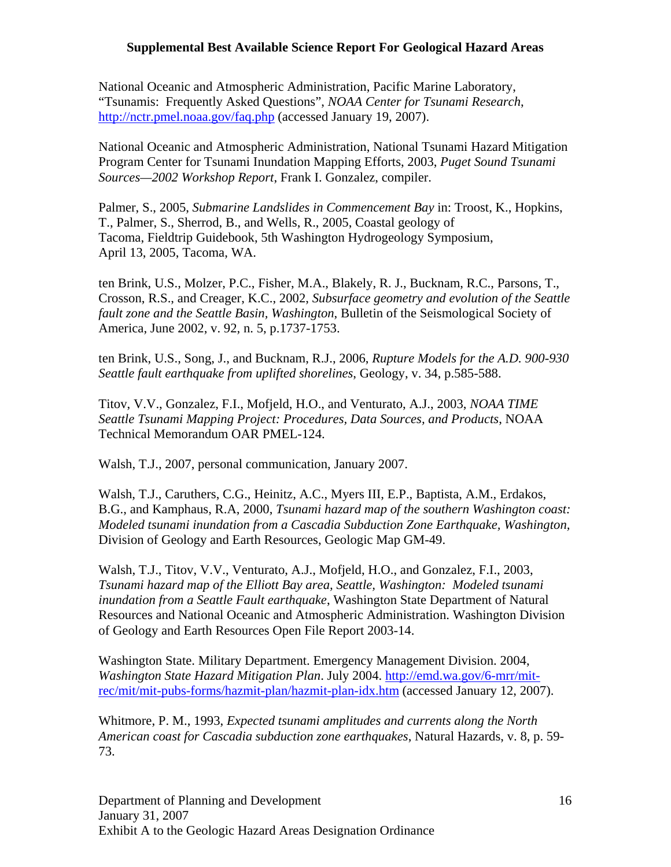National Oceanic and Atmospheric Administration, Pacific Marine Laboratory, "Tsunamis: Frequently Asked Questions", *NOAA Center for Tsunami Research*, http://nctr.pmel.noaa.gov/faq.php (accessed January 19, 2007).

National Oceanic and Atmospheric Administration, National Tsunami Hazard Mitigation Program Center for Tsunami Inundation Mapping Efforts, 2003, *Puget Sound Tsunami Sources—2002 Workshop Report*, Frank I. Gonzalez, compiler.

Palmer, S., 2005, *Submarine Landslides in Commencement Bay* in: Troost, K., Hopkins, T., Palmer, S., Sherrod, B., and Wells, R., 2005, Coastal geology of Tacoma, Fieldtrip Guidebook, 5th Washington Hydrogeology Symposium, April 13, 2005, Tacoma, WA.

ten Brink, U.S., Molzer, P.C., Fisher, M.A., Blakely, R. J., Bucknam, R.C., Parsons, T., Crosson, R.S., and Creager, K.C., 2002, *Subsurface geometry and evolution of the Seattle fault zone and the Seattle Basin, Washington*, Bulletin of the Seismological Society of America, June 2002, v. 92, n. 5, p.1737-1753.

ten Brink, U.S., Song, J., and Bucknam, R.J., 2006, *Rupture Models for the A.D. 900-930 Seattle fault earthquake from uplifted shorelines*, Geology, v. 34, p.585-588.

Titov, V.V., Gonzalez, F.I., Mofjeld, H.O., and Venturato, A.J., 2003, *NOAA TIME Seattle Tsunami Mapping Project: Procedures, Data Sources, and Products*, NOAA Technical Memorandum OAR PMEL-124.

Walsh, T.J., 2007, personal communication, January 2007.

Walsh, T.J., Caruthers, C.G., Heinitz, A.C., Myers III, E.P., Baptista, A.M., Erdakos, B.G., and Kamphaus, R.A, 2000, *Tsunami hazard map of the southern Washington coast: Modeled tsunami inundation from a Cascadia Subduction Zone Earthquake, Washington,* Division of Geology and Earth Resources, Geologic Map GM-49.

Walsh, T.J., Titov, V.V., Venturato, A.J., Mofjeld, H.O., and Gonzalez, F.I., 2003, *Tsunami hazard map of the Elliott Bay area, Seattle, Washington: Modeled tsunami inundation from a Seattle Fault earthquake*, Washington State Department of Natural Resources and National Oceanic and Atmospheric Administration. Washington Division of Geology and Earth Resources Open File Report 2003-14.

Washington State. Military Department. Emergency Management Division. 2004, *Washington State Hazard Mitigation Plan*. July 2004. http://emd.wa.gov/6-mrr/mitrec/mit/mit-pubs-forms/hazmit-plan/hazmit-plan-idx.htm (accessed January 12, 2007).

Whitmore, P. M., 1993, *Expected tsunami amplitudes and currents along the North American coast for Cascadia subduction zone earthquakes*, Natural Hazards, v. 8, p. 59- 73.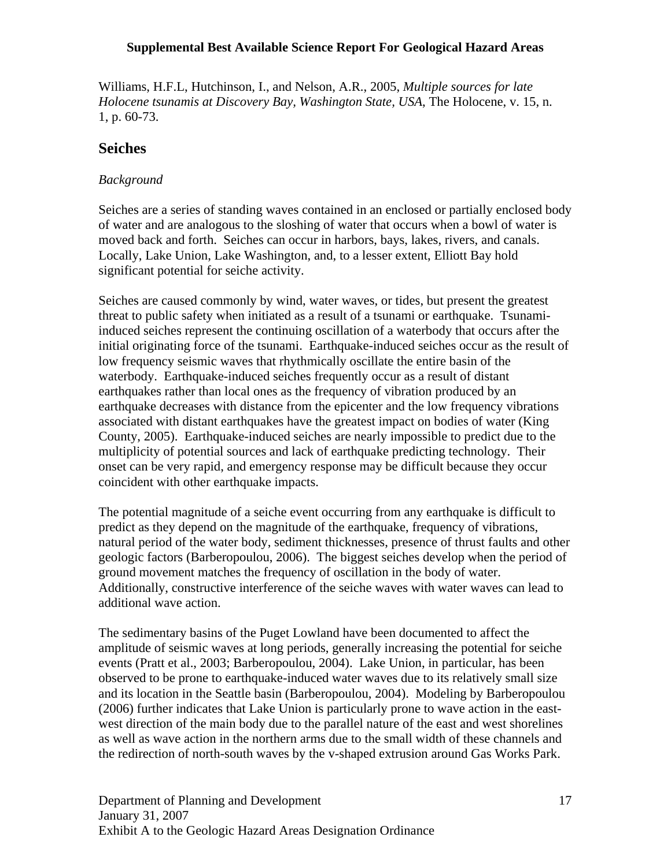Williams, H.F.L, Hutchinson, I., and Nelson, A.R., 2005, *Multiple sources for late Holocene tsunamis at Discovery Bay, Washington State, USA*, The Holocene, v. 15, n. 1, p. 60-73.

## **Seiches**

#### *Background*

Seiches are a series of standing waves contained in an enclosed or partially enclosed body of water and are analogous to the sloshing of water that occurs when a bowl of water is moved back and forth. Seiches can occur in harbors, bays, lakes, rivers, and canals. Locally, Lake Union, Lake Washington, and, to a lesser extent, Elliott Bay hold significant potential for seiche activity.

Seiches are caused commonly by wind, water waves, or tides, but present the greatest threat to public safety when initiated as a result of a tsunami or earthquake. Tsunamiinduced seiches represent the continuing oscillation of a waterbody that occurs after the initial originating force of the tsunami. Earthquake-induced seiches occur as the result of low frequency seismic waves that rhythmically oscillate the entire basin of the waterbody. Earthquake-induced seiches frequently occur as a result of distant earthquakes rather than local ones as the frequency of vibration produced by an earthquake decreases with distance from the epicenter and the low frequency vibrations associated with distant earthquakes have the greatest impact on bodies of water (King County, 2005). Earthquake-induced seiches are nearly impossible to predict due to the multiplicity of potential sources and lack of earthquake predicting technology. Their onset can be very rapid, and emergency response may be difficult because they occur coincident with other earthquake impacts.

The potential magnitude of a seiche event occurring from any earthquake is difficult to predict as they depend on the magnitude of the earthquake, frequency of vibrations, natural period of the water body, sediment thicknesses, presence of thrust faults and other geologic factors (Barberopoulou, 2006). The biggest seiches develop when the period of ground movement matches the frequency of oscillation in the body of water. Additionally, constructive interference of the seiche waves with water waves can lead to additional wave action.

The sedimentary basins of the Puget Lowland have been documented to affect the amplitude of seismic waves at long periods, generally increasing the potential for seiche events (Pratt et al., 2003; Barberopoulou, 2004). Lake Union, in particular, has been observed to be prone to earthquake-induced water waves due to its relatively small size and its location in the Seattle basin (Barberopoulou, 2004). Modeling by Barberopoulou (2006) further indicates that Lake Union is particularly prone to wave action in the eastwest direction of the main body due to the parallel nature of the east and west shorelines as well as wave action in the northern arms due to the small width of these channels and the redirection of north-south waves by the v-shaped extrusion around Gas Works Park.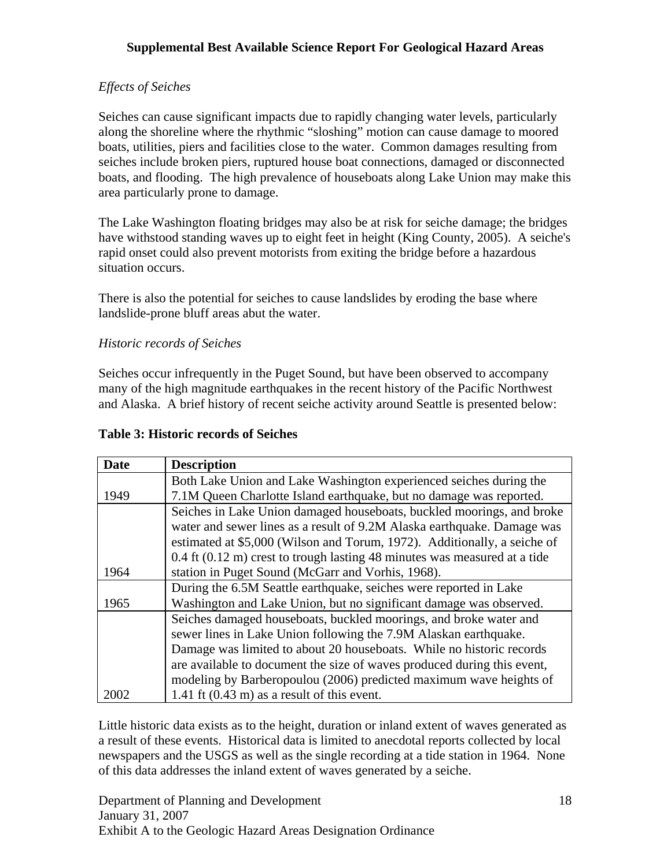## *Effects of Seiches*

Seiches can cause significant impacts due to rapidly changing water levels, particularly along the shoreline where the rhythmic "sloshing" motion can cause damage to moored boats, utilities, piers and facilities close to the water. Common damages resulting from seiches include broken piers, ruptured house boat connections, damaged or disconnected boats, and flooding. The high prevalence of houseboats along Lake Union may make this area particularly prone to damage.

The Lake Washington floating bridges may also be at risk for seiche damage; the bridges have withstood standing waves up to eight feet in height (King County, 2005). A seiche's rapid onset could also prevent motorists from exiting the bridge before a hazardous situation occurs.

There is also the potential for seiches to cause landslides by eroding the base where landslide-prone bluff areas abut the water.

#### *Historic records of Seiches*

Seiches occur infrequently in the Puget Sound, but have been observed to accompany many of the high magnitude earthquakes in the recent history of the Pacific Northwest and Alaska. A brief history of recent seiche activity around Seattle is presented below:

#### **Table 3: Historic records of Seiches**

| <b>Date</b> | <b>Description</b>                                                        |
|-------------|---------------------------------------------------------------------------|
|             | Both Lake Union and Lake Washington experienced seiches during the        |
| 1949        | 7.1M Queen Charlotte Island earthquake, but no damage was reported.       |
|             | Seiches in Lake Union damaged houseboats, buckled moorings, and broke     |
|             | water and sewer lines as a result of 9.2M Alaska earthquake. Damage was   |
|             | estimated at \$5,000 (Wilson and Torum, 1972). Additionally, a seiche of  |
|             | 0.4 ft (0.12 m) crest to trough lasting 48 minutes was measured at a tide |
| 1964        | station in Puget Sound (McGarr and Vorhis, 1968).                         |
|             | During the 6.5M Seattle earthquake, seiches were reported in Lake         |
| 1965        | Washington and Lake Union, but no significant damage was observed.        |
|             | Seiches damaged houseboats, buckled moorings, and broke water and         |
|             | sewer lines in Lake Union following the 7.9M Alaskan earthquake.          |
|             | Damage was limited to about 20 houseboats. While no historic records      |
|             | are available to document the size of waves produced during this event,   |
|             | modeling by Barberopoulou (2006) predicted maximum wave heights of        |
| 2002        | 1.41 ft $(0.43 \text{ m})$ as a result of this event.                     |

Little historic data exists as to the height, duration or inland extent of waves generated as a result of these events. Historical data is limited to anecdotal reports collected by local newspapers and the USGS as well as the single recording at a tide station in 1964. None of this data addresses the inland extent of waves generated by a seiche.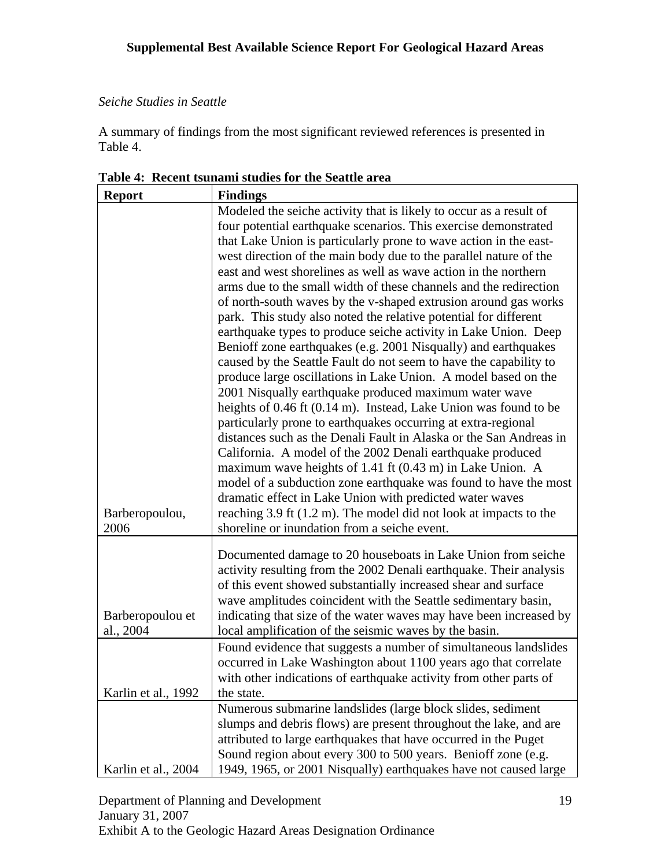## *Seiche Studies in Seattle*

A summary of findings from the most significant reviewed references is presented in Table 4.

| <b>Report</b>          | <b>Findings</b>                                                                                                   |
|------------------------|-------------------------------------------------------------------------------------------------------------------|
|                        | Modeled the seiche activity that is likely to occur as a result of                                                |
|                        | four potential earthquake scenarios. This exercise demonstrated                                                   |
|                        | that Lake Union is particularly prone to wave action in the east-                                                 |
|                        | west direction of the main body due to the parallel nature of the                                                 |
|                        | east and west shorelines as well as wave action in the northern                                                   |
|                        | arms due to the small width of these channels and the redirection                                                 |
|                        | of north-south waves by the v-shaped extrusion around gas works                                                   |
|                        | park. This study also noted the relative potential for different                                                  |
|                        | earthquake types to produce seiche activity in Lake Union. Deep                                                   |
|                        | Benioff zone earthquakes (e.g. 2001 Nisqually) and earthquakes                                                    |
|                        | caused by the Seattle Fault do not seem to have the capability to                                                 |
|                        | produce large oscillations in Lake Union. A model based on the                                                    |
|                        | 2001 Nisqually earthquake produced maximum water wave                                                             |
|                        | heights of 0.46 ft (0.14 m). Instead, Lake Union was found to be                                                  |
|                        | particularly prone to earthquakes occurring at extra-regional                                                     |
|                        | distances such as the Denali Fault in Alaska or the San Andreas in                                                |
|                        | California. A model of the 2002 Denali earthquake produced                                                        |
|                        | maximum wave heights of 1.41 ft (0.43 m) in Lake Union. A                                                         |
|                        | model of a subduction zone earthquake was found to have the most                                                  |
|                        | dramatic effect in Lake Union with predicted water waves                                                          |
| Barberopoulou,<br>2006 | reaching 3.9 ft (1.2 m). The model did not look at impacts to the<br>shoreline or inundation from a seiche event. |
|                        |                                                                                                                   |
|                        | Documented damage to 20 houseboats in Lake Union from seiche                                                      |
|                        | activity resulting from the 2002 Denali earthquake. Their analysis                                                |
|                        | of this event showed substantially increased shear and surface                                                    |
|                        | wave amplitudes coincident with the Seattle sedimentary basin,                                                    |
| Barberopoulou et       | indicating that size of the water waves may have been increased by                                                |
| al., 2004              | local amplification of the seismic waves by the basin.                                                            |
|                        | Found evidence that suggests a number of simultaneous landslides                                                  |
|                        | occurred in Lake Washington about 1100 years ago that correlate                                                   |
|                        | with other indications of earthquake activity from other parts of                                                 |
| Karlin et al., 1992    | the state.                                                                                                        |
|                        | Numerous submarine landslides (large block slides, sediment                                                       |
|                        | slumps and debris flows) are present throughout the lake, and are                                                 |
|                        | attributed to large earthquakes that have occurred in the Puget                                                   |
|                        | Sound region about every 300 to 500 years. Benioff zone (e.g.                                                     |
| Karlin et al., 2004    | 1949, 1965, or 2001 Nisqually) earthquakes have not caused large                                                  |

**Table 4: Recent tsunami studies for the Seattle area**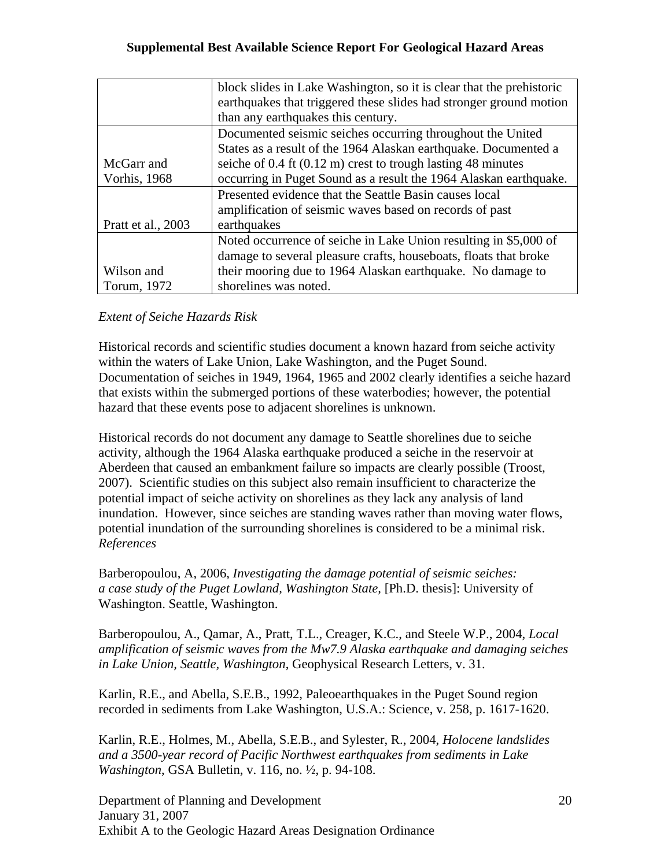|                      | block slides in Lake Washington, so it is clear that the prehistoric     |
|----------------------|--------------------------------------------------------------------------|
|                      | earthquakes that triggered these slides had stronger ground motion       |
|                      | than any earthquakes this century.                                       |
|                      | Documented seismic seiches occurring throughout the United               |
|                      | States as a result of the 1964 Alaskan earthquake. Documented a          |
| McGarr and           | seiche of $0.4$ ft $(0.12 \text{ m})$ crest to trough lasting 48 minutes |
| <b>Vorhis</b> , 1968 | occurring in Puget Sound as a result the 1964 Alaskan earthquake.        |
|                      | Presented evidence that the Seattle Basin causes local                   |
|                      | amplification of seismic waves based on records of past                  |
| Pratt et al., 2003   | earthquakes                                                              |
|                      | Noted occurrence of seiche in Lake Union resulting in \$5,000 of         |
|                      | damage to several pleasure crafts, houseboats, floats that broke         |
| Wilson and           | their mooring due to 1964 Alaskan earthquake. No damage to               |
| Torum, 1972          | shorelines was noted.                                                    |

## *Extent of Seiche Hazards Risk*

Historical records and scientific studies document a known hazard from seiche activity within the waters of Lake Union, Lake Washington, and the Puget Sound. Documentation of seiches in 1949, 1964, 1965 and 2002 clearly identifies a seiche hazard that exists within the submerged portions of these waterbodies; however, the potential hazard that these events pose to adjacent shorelines is unknown.

Historical records do not document any damage to Seattle shorelines due to seiche activity, although the 1964 Alaska earthquake produced a seiche in the reservoir at Aberdeen that caused an embankment failure so impacts are clearly possible (Troost, 2007). Scientific studies on this subject also remain insufficient to characterize the potential impact of seiche activity on shorelines as they lack any analysis of land inundation. However, since seiches are standing waves rather than moving water flows, potential inundation of the surrounding shorelines is considered to be a minimal risk. *References* 

Barberopoulou, A, 2006, *Investigating the damage potential of seismic seiches: a case study of the Puget Lowland, Washington State,* [Ph.D. thesis]: University of Washington. Seattle, Washington.

Barberopoulou, A., Qamar, A., Pratt, T.L., Creager, K.C., and Steele W.P., 2004, *Local amplification of seismic waves from the Mw7.9 Alaska earthquake and damaging seiches in Lake Union, Seattle, Washington*, Geophysical Research Letters, v. 31.

Karlin, R.E., and Abella, S.E.B., 1992, Paleoearthquakes in the Puget Sound region recorded in sediments from Lake Washington, U.S.A.: Science, v. 258, p. 1617-1620.

Karlin, R.E., Holmes, M., Abella, S.E.B., and Sylester, R., 2004, *Holocene landslides and a 3500-year record of Pacific Northwest earthquakes from sediments in Lake Washington*, GSA Bulletin, v. 116, no. ½, p. 94-108.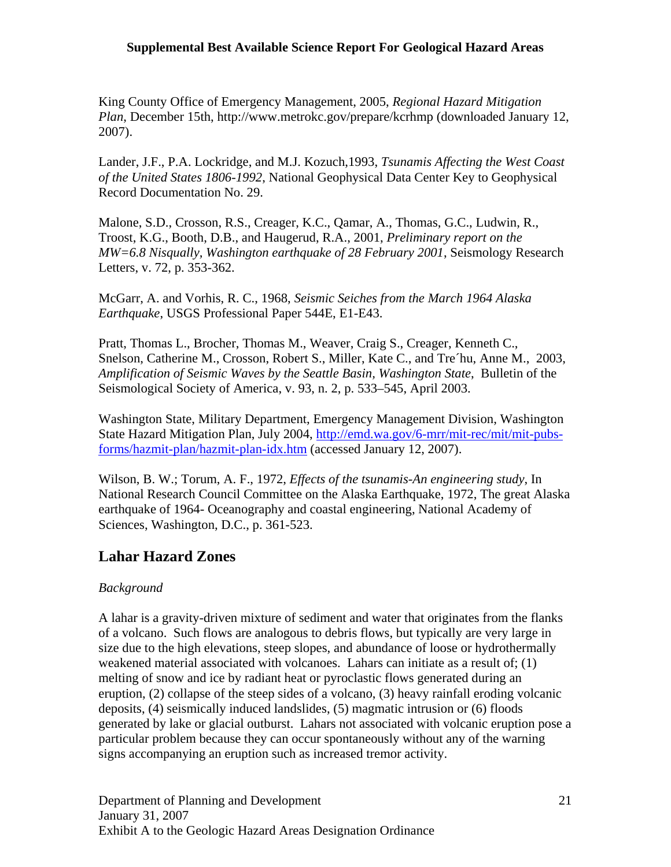King County Office of Emergency Management, 2005, *Regional Hazard Mitigation Plan*, December 15th, http://www.metrokc.gov/prepare/kcrhmp (downloaded January 12, 2007).

Lander, J.F., P.A. Lockridge, and M.J. Kozuch,1993, *Tsunamis Affecting the West Coast of the United States 1806-1992*, National Geophysical Data Center Key to Geophysical Record Documentation No. 29.

Malone, S.D., Crosson, R.S., Creager, K.C., Qamar, A., Thomas, G.C., Ludwin, R., Troost, K.G., Booth, D.B., and Haugerud, R.A., 2001, *Preliminary report on the MW=6.8 Nisqually, Washington earthquake of 28 February 2001*, Seismology Research Letters, v. 72, p. 353-362.

McGarr, A. and Vorhis, R. C., 1968, *Seismic Seiches from the March 1964 Alaska Earthquake*, USGS Professional Paper 544E, E1-E43.

Pratt, Thomas L., Brocher, Thomas M., Weaver, Craig S., Creager, Kenneth C., Snelson, Catherine M., Crosson, Robert S., Miller, Kate C., and Tre´hu, Anne M., 2003, *Amplification of Seismic Waves by the Seattle Basin, Washington State*, Bulletin of the Seismological Society of America, v. 93, n. 2, p. 533–545, April 2003.

Washington State, Military Department, Emergency Management Division, Washington State Hazard Mitigation Plan, July 2004, http://emd.wa.gov/6-mrr/mit-rec/mit/mit-pubsforms/hazmit-plan/hazmit-plan-idx.htm (accessed January 12, 2007).

Wilson, B. W.; Torum, A. F., 1972, *Effects of the tsunamis-An engineering study*, In National Research Council Committee on the Alaska Earthquake, 1972, The great Alaska earthquake of 1964- Oceanography and coastal engineering, National Academy of Sciences, Washington, D.C., p. 361-523.

## **Lahar Hazard Zones**

## *Background*

A lahar is a gravity-driven mixture of sediment and water that originates from the flanks of a volcano. Such flows are analogous to debris flows, but typically are very large in size due to the high elevations, steep slopes, and abundance of loose or hydrothermally weakened material associated with volcanoes. Lahars can initiate as a result of; (1) melting of snow and ice by radiant heat or pyroclastic flows generated during an eruption, (2) collapse of the steep sides of a volcano, (3) heavy rainfall eroding volcanic deposits, (4) seismically induced landslides, (5) magmatic intrusion or (6) floods generated by lake or glacial outburst. Lahars not associated with volcanic eruption pose a particular problem because they can occur spontaneously without any of the warning signs accompanying an eruption such as increased tremor activity.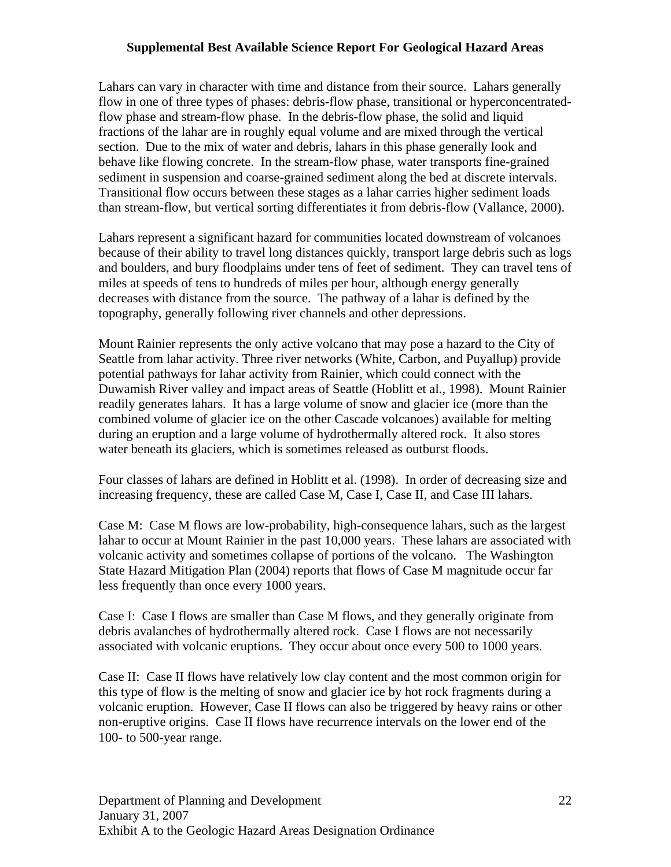Lahars can vary in character with time and distance from their source. Lahars generally flow in one of three types of phases: debris-flow phase, transitional or hyperconcentratedflow phase and stream-flow phase. In the debris-flow phase, the solid and liquid fractions of the lahar are in roughly equal volume and are mixed through the vertical section. Due to the mix of water and debris, lahars in this phase generally look and behave like flowing concrete. In the stream-flow phase, water transports fine-grained sediment in suspension and coarse-grained sediment along the bed at discrete intervals. Transitional flow occurs between these stages as a lahar carries higher sediment loads than stream-flow, but vertical sorting differentiates it from debris-flow (Vallance, 2000).

Lahars represent a significant hazard for communities located downstream of volcanoes because of their ability to travel long distances quickly, transport large debris such as logs and boulders, and bury floodplains under tens of feet of sediment. They can travel tens of miles at speeds of tens to hundreds of miles per hour, although energy generally decreases with distance from the source. The pathway of a lahar is defined by the topography, generally following river channels and other depressions.

Mount Rainier represents the only active volcano that may pose a hazard to the City of Seattle from lahar activity. Three river networks (White, Carbon, and Puyallup) provide potential pathways for lahar activity from Rainier, which could connect with the Duwamish River valley and impact areas of Seattle (Hoblitt et al., 1998). Mount Rainier readily generates lahars. It has a large volume of snow and glacier ice (more than the combined volume of glacier ice on the other Cascade volcanoes) available for melting during an eruption and a large volume of hydrothermally altered rock. It also stores water beneath its glaciers, which is sometimes released as outburst floods.

Four classes of lahars are defined in Hoblitt et al. (1998). In order of decreasing size and increasing frequency, these are called Case M, Case I, Case II, and Case III lahars.

Case M: Case M flows are low-probability, high-consequence lahars, such as the largest lahar to occur at Mount Rainier in the past 10,000 years. These lahars are associated with volcanic activity and sometimes collapse of portions of the volcano. The Washington State Hazard Mitigation Plan (2004) reports that flows of Case M magnitude occur far less frequently than once every 1000 years.

Case I: Case I flows are smaller than Case M flows, and they generally originate from debris avalanches of hydrothermally altered rock. Case I flows are not necessarily associated with volcanic eruptions. They occur about once every 500 to 1000 years.

Case II: Case II flows have relatively low clay content and the most common origin for this type of flow is the melting of snow and glacier ice by hot rock fragments during a volcanic eruption. However, Case II flows can also be triggered by heavy rains or other non-eruptive origins. Case II flows have recurrence intervals on the lower end of the 100- to 500-year range.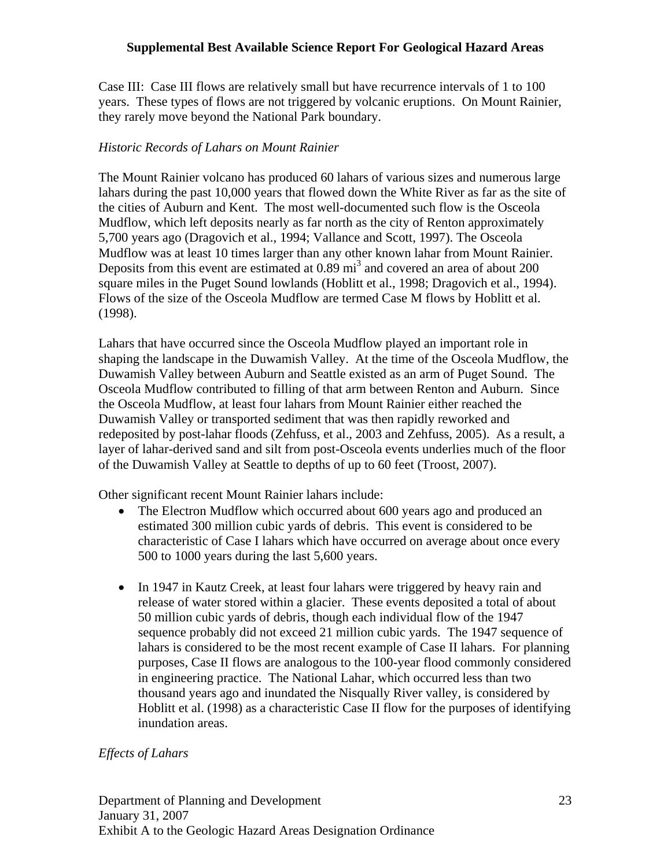Case III: Case III flows are relatively small but have recurrence intervals of 1 to 100 years. These types of flows are not triggered by volcanic eruptions. On Mount Rainier, they rarely move beyond the National Park boundary.

#### *Historic Records of Lahars on Mount Rainier*

The Mount Rainier volcano has produced 60 lahars of various sizes and numerous large lahars during the past 10,000 years that flowed down the White River as far as the site of the cities of Auburn and Kent. The most well-documented such flow is the Osceola Mudflow, which left deposits nearly as far north as the city of Renton approximately 5,700 years ago (Dragovich et al., 1994; Vallance and Scott, 1997). The Osceola Mudflow was at least 10 times larger than any other known lahar from Mount Rainier. Deposits from this event are estimated at  $0.89 \text{ mi}^3$  and covered an area of about 200 square miles in the Puget Sound lowlands (Hoblitt et al., 1998; Dragovich et al., 1994). Flows of the size of the Osceola Mudflow are termed Case M flows by Hoblitt et al. (1998).

Lahars that have occurred since the Osceola Mudflow played an important role in shaping the landscape in the Duwamish Valley. At the time of the Osceola Mudflow, the Duwamish Valley between Auburn and Seattle existed as an arm of Puget Sound. The Osceola Mudflow contributed to filling of that arm between Renton and Auburn. Since the Osceola Mudflow, at least four lahars from Mount Rainier either reached the Duwamish Valley or transported sediment that was then rapidly reworked and redeposited by post-lahar floods (Zehfuss, et al., 2003 and Zehfuss, 2005). As a result, a layer of lahar-derived sand and silt from post-Osceola events underlies much of the floor of the Duwamish Valley at Seattle to depths of up to 60 feet (Troost, 2007).

Other significant recent Mount Rainier lahars include:

- The Electron Mudflow which occurred about 600 years ago and produced an estimated 300 million cubic yards of debris. This event is considered to be characteristic of Case I lahars which have occurred on average about once every 500 to 1000 years during the last 5,600 years.
- In 1947 in Kautz Creek, at least four lahars were triggered by heavy rain and release of water stored within a glacier. These events deposited a total of about 50 million cubic yards of debris, though each individual flow of the 1947 sequence probably did not exceed 21 million cubic yards. The 1947 sequence of lahars is considered to be the most recent example of Case II lahars. For planning purposes, Case II flows are analogous to the 100-year flood commonly considered in engineering practice. The National Lahar, which occurred less than two thousand years ago and inundated the Nisqually River valley, is considered by Hoblitt et al. (1998) as a characteristic Case II flow for the purposes of identifying inundation areas.

#### *Effects of Lahars*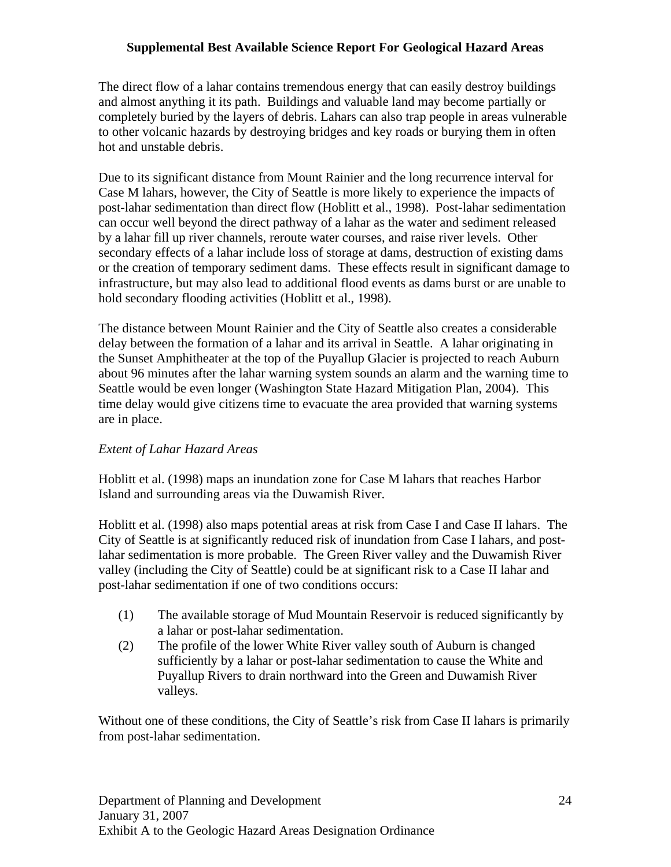The direct flow of a lahar contains tremendous energy that can easily destroy buildings and almost anything it its path. Buildings and valuable land may become partially or completely buried by the layers of debris. Lahars can also trap people in areas vulnerable to other volcanic hazards by destroying bridges and key roads or burying them in often hot and unstable debris.

Due to its significant distance from Mount Rainier and the long recurrence interval for Case M lahars, however, the City of Seattle is more likely to experience the impacts of post-lahar sedimentation than direct flow (Hoblitt et al., 1998). Post-lahar sedimentation can occur well beyond the direct pathway of a lahar as the water and sediment released by a lahar fill up river channels, reroute water courses, and raise river levels. Other secondary effects of a lahar include loss of storage at dams, destruction of existing dams or the creation of temporary sediment dams. These effects result in significant damage to infrastructure, but may also lead to additional flood events as dams burst or are unable to hold secondary flooding activities (Hoblitt et al., 1998).

The distance between Mount Rainier and the City of Seattle also creates a considerable delay between the formation of a lahar and its arrival in Seattle. A lahar originating in the Sunset Amphitheater at the top of the Puyallup Glacier is projected to reach Auburn about 96 minutes after the lahar warning system sounds an alarm and the warning time to Seattle would be even longer (Washington State Hazard Mitigation Plan, 2004). This time delay would give citizens time to evacuate the area provided that warning systems are in place.

## *Extent of Lahar Hazard Areas*

Hoblitt et al. (1998) maps an inundation zone for Case M lahars that reaches Harbor Island and surrounding areas via the Duwamish River.

Hoblitt et al. (1998) also maps potential areas at risk from Case I and Case II lahars. The City of Seattle is at significantly reduced risk of inundation from Case I lahars, and postlahar sedimentation is more probable. The Green River valley and the Duwamish River valley (including the City of Seattle) could be at significant risk to a Case II lahar and post-lahar sedimentation if one of two conditions occurs:

- (1) The available storage of Mud Mountain Reservoir is reduced significantly by a lahar or post-lahar sedimentation.
- (2) The profile of the lower White River valley south of Auburn is changed sufficiently by a lahar or post-lahar sedimentation to cause the White and Puyallup Rivers to drain northward into the Green and Duwamish River valleys.

Without one of these conditions, the City of Seattle's risk from Case II lahars is primarily from post-lahar sedimentation.